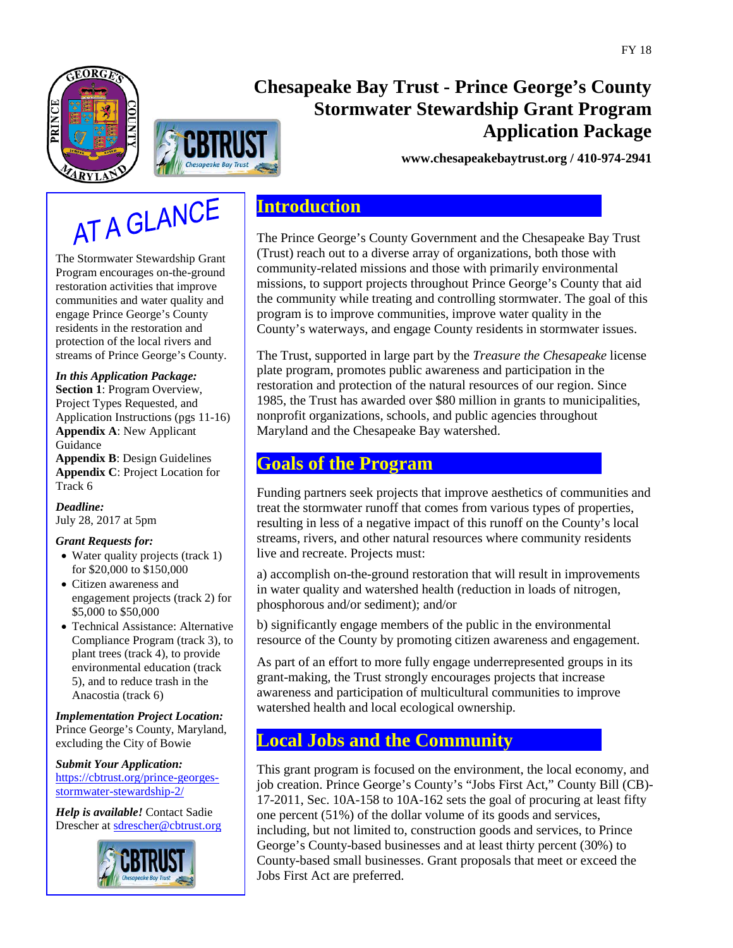



# **Chesapeake Bay Trust - Prince George's County Stormwater Stewardship Grant Program Application Package**

**www.chesapeakebaytrust.org / 410-974-2941**

# AT A GLANCE

The Stormwater Stewardship Grant Program encourages on-the-ground restoration activities that improve communities and water quality and engage Prince George's County residents in the restoration and protection of the local rivers and streams of Prince George's County.

### *In this Application Package:*

**Section 1**: Program Overview, Project Types Requested, and Application Instructions (pgs 11-16) **Appendix A**: New Applicant Guidance

**Appendix B**: Design Guidelines **Appendix C**: Project Location for Track 6

*Deadline:* July 28, 2017 at 5pm

### *Grant Requests for:*

- Water quality projects (track 1) for \$20,000 to \$150,000
- Citizen awareness and engagement projects (track 2) for \$5,000 to \$50,000
- Technical Assistance: Alternative Compliance Program (track 3), to plant trees (track 4), to provide environmental education (track 5), and to reduce trash in the Anacostia (track 6)

*Implementation Project Location:* Prince George's County, Maryland, excluding the City of Bowie

*Submit Your Application:* [https://cbtrust.org/prince-georges](https://cbtrust.org/prince-georges-stormwater-stewardship-2/)[stormwater-stewardship-2/](https://cbtrust.org/prince-georges-stormwater-stewardship-2/)

*Help is available!* Contact Sadie Drescher at [sdrescher@cbtrust.org](mailto:sdrescher@cbtrust.org)



# **Introduction**

The Prince George's County Government and the Chesapeake Bay Trust (Trust) reach out to a diverse array of organizations, both those with community-related missions and those with primarily environmental missions, to support projects throughout Prince George's County that aid the community while treating and controlling stormwater. The goal of this program is to improve communities, improve water quality in the County's waterways, and engage County residents in stormwater issues.

The Trust, supported in large part by the *Treasure the Chesapeake* license plate program, promotes public awareness and participation in the restoration and protection of the natural resources of our region. Since 1985, the Trust has awarded over \$80 million in grants to municipalities, nonprofit organizations, schools, and public agencies throughout Maryland and the Chesapeake Bay watershed.

# **Goals of the Program**

Funding partners seek projects that improve aesthetics of communities and treat the stormwater runoff that comes from various types of properties, resulting in less of a negative impact of this runoff on the County's local streams, rivers, and other natural resources where community residents live and recreate. Projects must:

a) accomplish on-the-ground restoration that will result in improvements in water quality and watershed health (reduction in loads of nitrogen, phosphorous and/or sediment); and/or

b) significantly engage members of the public in the environmental resource of the County by promoting citizen awareness and engagement.

As part of an effort to more fully engage underrepresented groups in its grant-making, the Trust strongly encourages projects that increase awareness and participation of multicultural communities to improve watershed health and local ecological ownership.

# **Local Jobs and the Community**

This grant program is focused on the environment, the local economy, and job creation. Prince George's County's "Jobs First Act," County Bill (CB)- 17-2011, Sec. 10A-158 to 10A-162 sets the goal of procuring at least fifty one percent (51%) of the dollar volume of its goods and services, including, but not limited to, construction goods and services, to Prince George's County-based businesses and at least thirty percent (30%) to County-based small businesses. Grant proposals that meet or exceed the Jobs First Act are preferred.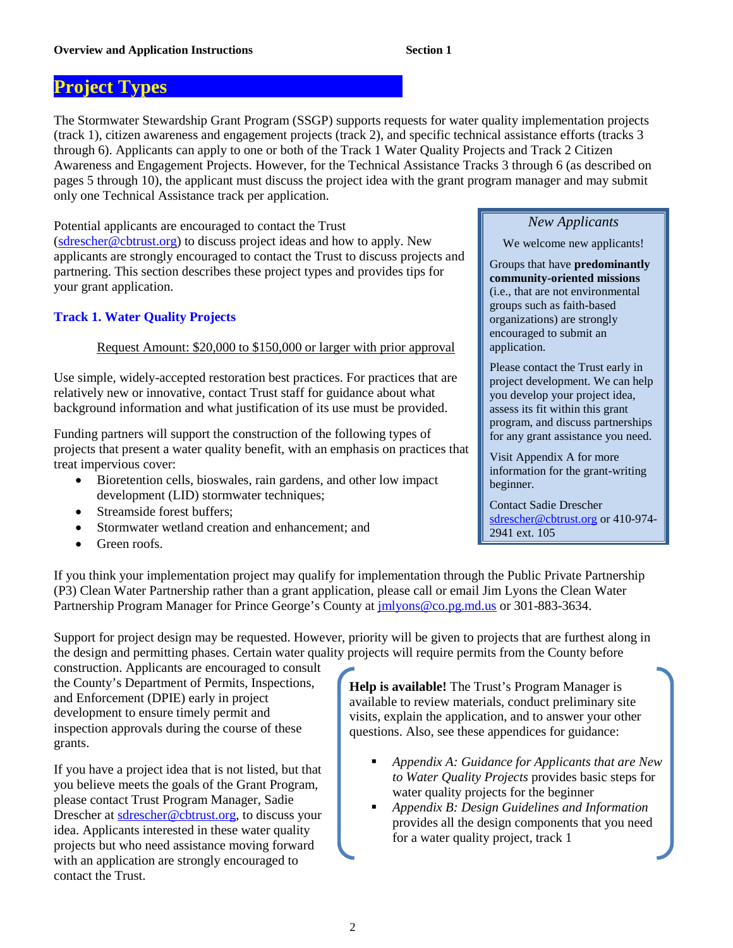# **Project Types** .

The Stormwater Stewardship Grant Program (SSGP) supports requests for water quality implementation projects (track 1), citizen awareness and engagement projects (track 2), and specific technical assistance efforts (tracks 3 through 6). Applicants can apply to one or both of the Track 1 Water Quality Projects and Track 2 Citizen Awareness and Engagement Projects. However, for the Technical Assistance Tracks 3 through 6 (as described on pages 5 through 10), the applicant must discuss the project idea with the grant program manager and may submit only one Technical Assistance track per application.

Potential applicants are encouraged to contact the Trust [\(sdrescher@cbtrust.org\)](mailto:sdrescher@cbtrust.org) to discuss project ideas and how to apply. New applicants are strongly encouraged to contact the Trust to discuss projects and partnering. This section describes these project types and provides tips for your grant application.

### **Track 1. Water Quality Projects**

### Request Amount: \$20,000 to \$150,000 or larger with prior approval

Use simple, widely-accepted restoration best practices. For practices that are relatively new or innovative, contact Trust staff for guidance about what background information and what justification of its use must be provided.

Funding partners will support the construction of the following types of projects that present a water quality benefit, with an emphasis on practices that treat impervious cover:

- Bioretention cells, bioswales, rain gardens, and other low impact development (LID) stormwater techniques;
- Streamside forest buffers;
- Stormwater wetland creation and enhancement; and
- Green roofs.

### *New Applicants*

We welcome new applicants!

Groups that have **predominantly community-oriented missions** (i.e., that are not environmental groups such as faith-based organizations) are strongly encouraged to submit an application.

Please contact the Trust early in project development. We can help you develop your project idea, assess its fit within this grant program, and discuss partnerships for any grant assistance you need.

Visit Appendix A for more information for the grant-writing beginner.

Contact Sadie Drescher [sdrescher@cbtrust.org](mailto:sdrescher@cbtrust.org) or 410-974- 2941 ext. 105

If you think your implementation project may qualify for implementation through the Public Private Partnership (P3) Clean Water Partnership rather than a grant application, please call or email Jim Lyons the Clean Water Partnership Program Manager for Prince George's County at *imlyons@co.pg.md.us* or 301-883-3634.

Support for project design may be requested. However, priority will be given to projects that are furthest along in the design and permitting phases. Certain water quality projects will require permits from the County before

construction. Applicants are encouraged to consult the County's Department of Permits, Inspections, and Enforcement (DPIE) early in project development to ensure timely permit and inspection approvals during the course of these grants.

If you have a project idea that is not listed, but that you believe meets the goals of the Grant Program, please contact Trust Program Manager, Sadie Drescher at sdrescher@cbtrust.org, to discuss your idea. Applicants interested in these water quality projects but who need assistance moving forward with an application are strongly encouraged to contact the Trust.

**Help is available!** The Trust's Program Manager is available to review materials, conduct preliminary site visits, explain the application, and to answer your other questions. Also, see these appendices for guidance:

- *Appendix A: Guidance for Applicants that are New to Water Quality Projects* provides basic steps for water quality projects for the beginner
- *Appendix B: Design Guidelines and Information* provides all the design components that you need for a water quality project, track 1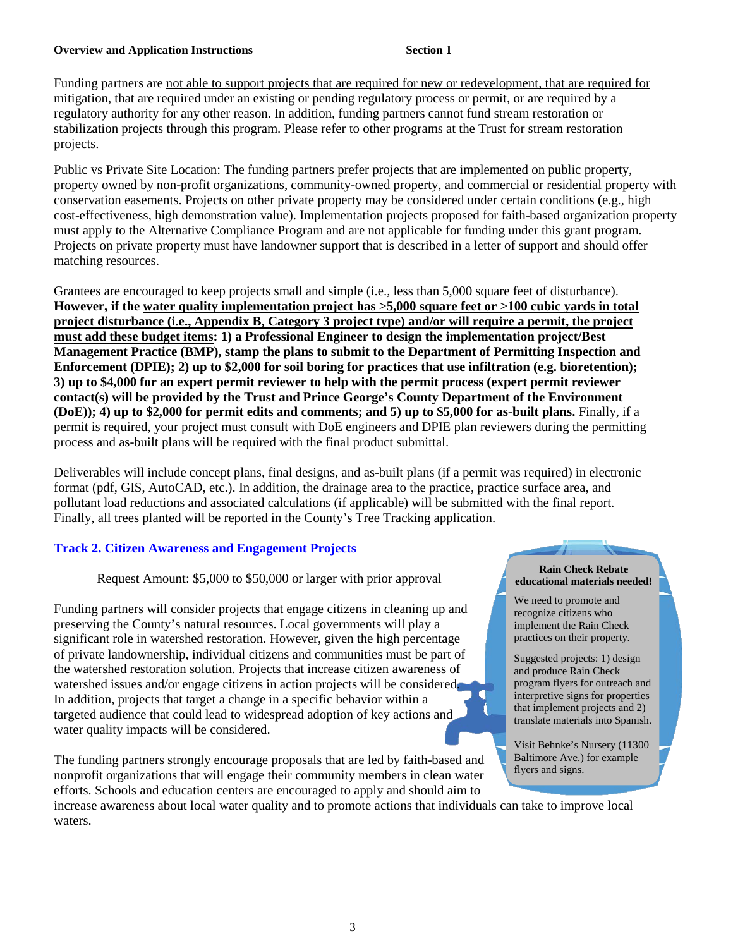Funding partners are not able to support projects that are required for new or redevelopment, that are required for mitigation, that are required under an existing or pending regulatory process or permit, or are required by a regulatory authority for any other reason. In addition, funding partners cannot fund stream restoration or stabilization projects through this program. Please refer to other programs at the Trust for stream restoration projects.

Public vs Private Site Location: The funding partners prefer projects that are implemented on public property, property owned by non-profit organizations, community-owned property, and commercial or residential property with conservation easements. Projects on other private property may be considered under certain conditions (e.g., high cost-effectiveness, high demonstration value). Implementation projects proposed for faith-based organization property must apply to the Alternative Compliance Program and are not applicable for funding under this grant program. Projects on private property must have landowner support that is described in a letter of support and should offer matching resources.

Grantees are encouraged to keep projects small and simple (i.e., less than 5,000 square feet of disturbance). **However, if the water quality implementation project has >5,000 square feet or >100 cubic yards in total project disturbance (i.e., Appendix B, Category 3 project type) and/or will require a permit, the project must add these budget items: 1) a Professional Engineer to design the implementation project/Best Management Practice (BMP), stamp the plans to submit to the Department of Permitting Inspection and Enforcement (DPIE); 2) up to \$2,000 for soil boring for practices that use infiltration (e.g. bioretention); 3) up to \$4,000 for an expert permit reviewer to help with the permit process (expert permit reviewer contact(s) will be provided by the Trust and Prince George's County Department of the Environment (DoE)); 4) up to \$2,000 for permit edits and comments; and 5) up to \$5,000 for as-built plans.** Finally, if a permit is required, your project must consult with DoE engineers and DPIE plan reviewers during the permitting process and as-built plans will be required with the final product submittal.

Deliverables will include concept plans, final designs, and as-built plans (if a permit was required) in electronic format (pdf, GIS, AutoCAD, etc.). In addition, the drainage area to the practice, practice surface area, and pollutant load reductions and associated calculations (if applicable) will be submitted with the final report. Finally, all trees planted will be reported in the County's Tree Tracking application.

### **Track 2. Citizen Awareness and Engagement Projects**

### Request Amount: \$5,000 to \$50,000 or larger with prior approval

Funding partners will consider projects that engage citizens in cleaning up and preserving the County's natural resources. Local governments will play a significant role in watershed restoration. However, given the high percentage of private landownership, individual citizens and communities must be part of the watershed restoration solution. Projects that increase citizen awareness of watershed issues and/or engage citizens in action projects will be considered. In addition, projects that target a change in a specific behavior within a targeted audience that could lead to widespread adoption of key actions and water quality impacts will be considered.

The funding partners strongly encourage proposals that are led by faith-based and nonprofit organizations that will engage their community members in clean water efforts. Schools and education centers are encouraged to apply and should aim to

increase awareness about local water quality and to promote actions that individuals can take to improve local waters.

### **Rain Check Rebate educational materials needed!**

We need to promote and recognize citizens who implement the Rain Check practices on their property.

 $\mathcal{L}$ 

Suggested projects: 1) design and produce Rain Check program flyers for outreach and interpretive signs for properties that implement projects and 2) translate materials into Spanish.

Visit Behnke's Nursery (11300 Baltimore Ave.) for example flyers and signs.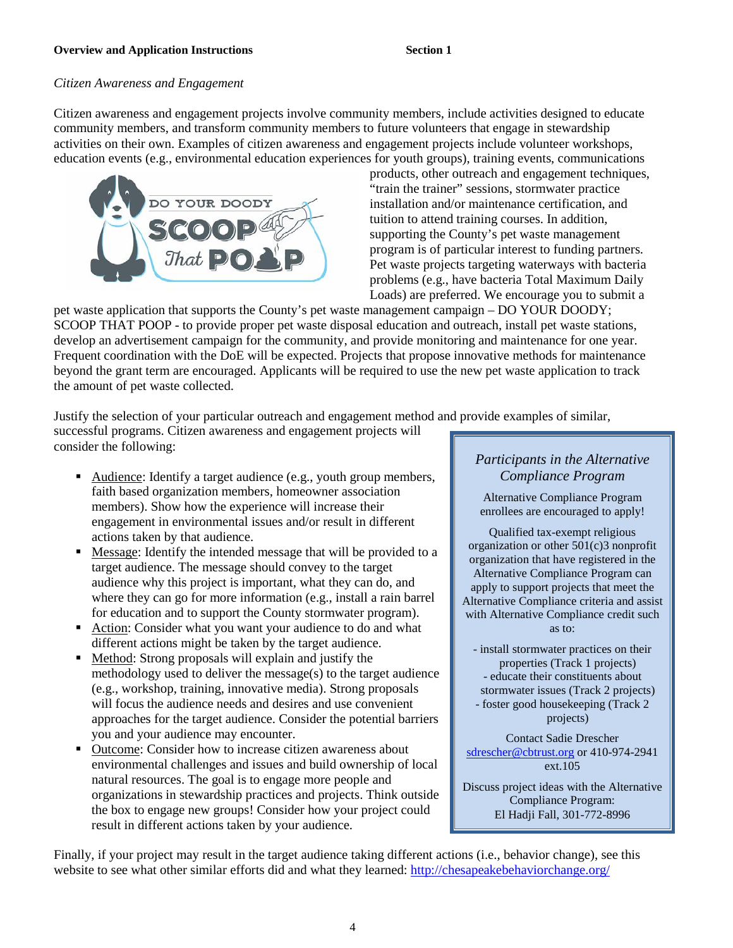### *Citizen Awareness and Engagement*

Citizen awareness and engagement projects involve community members, include activities designed to educate community members, and transform community members to future volunteers that engage in stewardship activities on their own. Examples of citizen awareness and engagement projects include volunteer workshops, education events (e.g., environmental education experiences for youth groups), training events, communications



products, other outreach and engagement techniques, "train the trainer" sessions, stormwater practice installation and/or maintenance certification, and tuition to attend training courses. In addition, supporting the County's pet waste management program is of particular interest to funding partners. Pet waste projects targeting waterways with bacteria problems (e.g., have bacteria Total Maximum Daily Loads) are preferred. We encourage you to submit a

pet waste application that supports the County's pet waste management campaign – DO YOUR DOODY; SCOOP THAT POOP - to provide proper pet waste disposal education and outreach, install pet waste stations, develop an advertisement campaign for the community, and provide monitoring and maintenance for one year. Frequent coordination with the DoE will be expected. Projects that propose innovative methods for maintenance beyond the grant term are encouraged. Applicants will be required to use the new pet waste application to track the amount of pet waste collected.

Justify the selection of your particular outreach and engagement method and provide examples of similar,

successful programs. Citizen awareness and engagement projects will consider the following:

- Audience: Identify a target audience (e.g., youth group members, faith based organization members, homeowner association members). Show how the experience will increase their engagement in environmental issues and/or result in different actions taken by that audience.
- Message: Identify the intended message that will be provided to a target audience. The message should convey to the target audience why this project is important, what they can do, and where they can go for more information (e.g., install a rain barrel for education and to support the County stormwater program).
- Action: Consider what you want your audience to do and what different actions might be taken by the target audience.
- Method: Strong proposals will explain and justify the methodology used to deliver the message(s) to the target audience (e.g., workshop, training, innovative media). Strong proposals will focus the audience needs and desires and use convenient approaches for the target audience. Consider the potential barriers you and your audience may encounter.
- Outcome: Consider how to increase citizen awareness about environmental challenges and issues and build ownership of local natural resources. The goal is to engage more people and organizations in stewardship practices and projects. Think outside the box to engage new groups! Consider how your project could result in different actions taken by your audience.

### *Participants in the Alternative Compliance Program*

Alternative Compliance Program enrollees are encouraged to apply!

Qualified tax-exempt religious organization or other 501(c)3 nonprofit organization that have registered in the Alternative Compliance Program can apply to support projects that meet the Alternative Compliance criteria and assist with Alternative Compliance credit such as to:

- install stormwater practices on their properties (Track 1 projects) - educate their constituents about stormwater issues (Track 2 projects) - foster good housekeeping (Track 2 projects)

Contact Sadie Drescher [sdrescher@cbtrust.org](mailto:sdrescher@cbtrust.org) or 410-974-2941 ext.105

Discuss project ideas with the Alternative Compliance Program: El Hadji Fall, 301-772-8996

Finally, if your project may result in the target audience taking different actions (i.e., behavior change), see this website to see what other similar efforts did and what they learned: <http://chesapeakebehaviorchange.org/>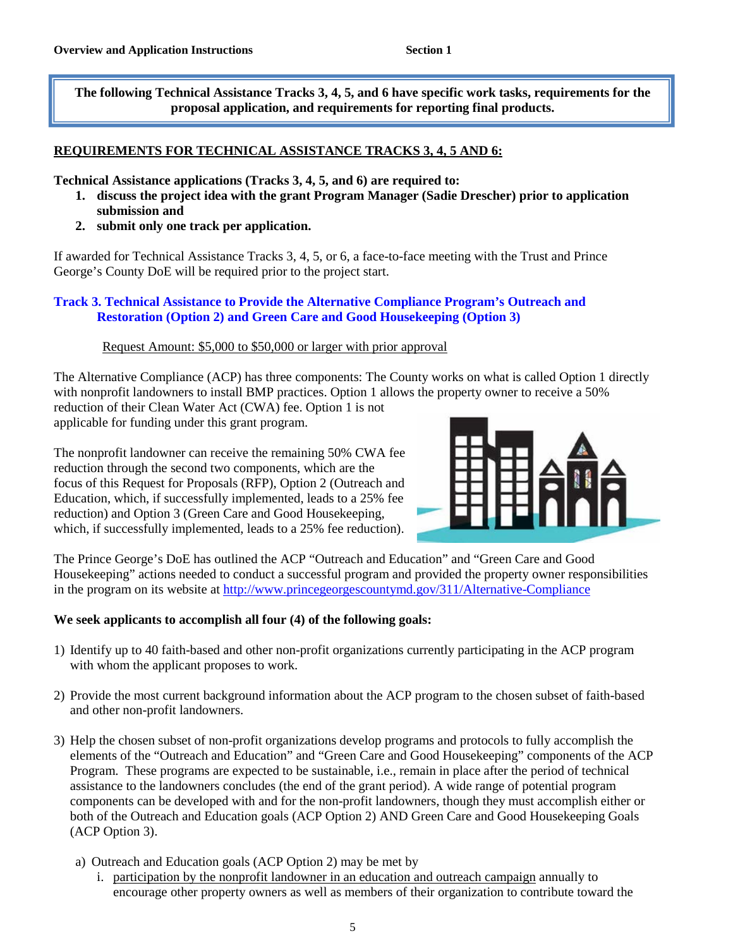**The following Technical Assistance Tracks 3, 4, 5, and 6 have specific work tasks, requirements for the proposal application, and requirements for reporting final products.**

### **REQUIREMENTS FOR TECHNICAL ASSISTANCE TRACKS 3, 4, 5 AND 6:**

**Technical Assistance applications (Tracks 3, 4, 5, and 6) are required to:**

- **1. discuss the project idea with the grant Program Manager (Sadie Drescher) prior to application submission and**
- **2. submit only one track per application.**

If awarded for Technical Assistance Tracks 3, 4, 5, or 6, a face-to-face meeting with the Trust and Prince George's County DoE will be required prior to the project start.

### **Track 3. Technical Assistance to Provide the Alternative Compliance Program's Outreach and Restoration (Option 2) and Green Care and Good Housekeeping (Option 3)**

### Request Amount: \$5,000 to \$50,000 or larger with prior approval

The Alternative Compliance (ACP) has three components: The County works on what is called Option 1 directly with nonprofit landowners to install BMP practices. Option 1 allows the property owner to receive a 50% reduction of their Clean Water Act (CWA) fee. Option 1 is not

applicable for funding under this grant program.

The nonprofit landowner can receive the remaining 50% CWA fee reduction through the second two components, which are the focus of this Request for Proposals (RFP), Option 2 (Outreach and Education, which, if successfully implemented, leads to a 25% fee reduction) and Option 3 (Green Care and Good Housekeeping, which, if successfully implemented, leads to a 25% fee reduction).



The Prince George's DoE has outlined the ACP "Outreach and Education" and "Green Care and Good Housekeeping" actions needed to conduct a successful program and provided the property owner responsibilities in the program on its website at<http://www.princegeorgescountymd.gov/311/Alternative-Compliance>

### **We seek applicants to accomplish all four (4) of the following goals:**

- 1) Identify up to 40 faith-based and other non-profit organizations currently participating in the ACP program with whom the applicant proposes to work.
- 2) Provide the most current background information about the ACP program to the chosen subset of faith-based and other non-profit landowners.
- 3) Help the chosen subset of non-profit organizations develop programs and protocols to fully accomplish the elements of the "Outreach and Education" and "Green Care and Good Housekeeping" components of the ACP Program. These programs are expected to be sustainable, i.e., remain in place after the period of technical assistance to the landowners concludes (the end of the grant period). A wide range of potential program components can be developed with and for the non-profit landowners, though they must accomplish either or both of the Outreach and Education goals (ACP Option 2) AND Green Care and Good Housekeeping Goals (ACP Option 3).
	- a) Outreach and Education goals (ACP Option 2) may be met by
		- i. participation by the nonprofit landowner in an education and outreach campaign annually to encourage other property owners as well as members of their organization to contribute toward the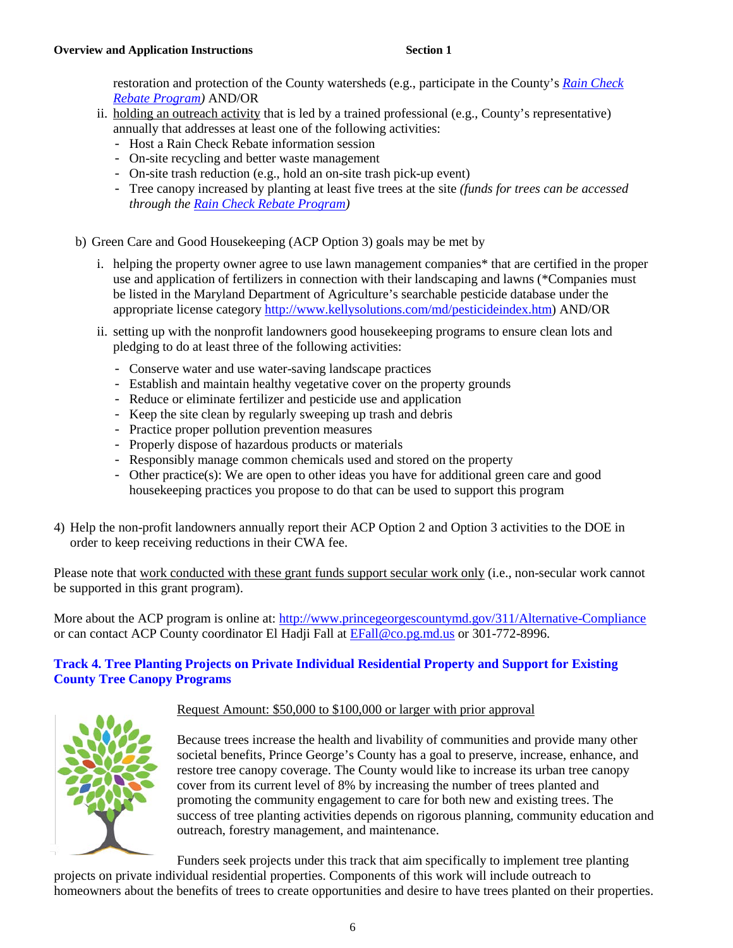restoration and protection of the County watersheds (e.g., participate in the County's *[Rain Check](https://cbtrust.org/prince-georges-county-rain-check-rebate/)  [Rebate Program\)](https://cbtrust.org/prince-georges-county-rain-check-rebate/)* AND/OR

- ii. holding an outreach activity that is led by a trained professional (e.g., County's representative) annually that addresses at least one of the following activities:
	- Host a Rain Check Rebate information session
	- On-site recycling and better waste management
	- On-site trash reduction (e.g., hold an on-site trash pick-up event)
	- Tree canopy increased by planting at least five trees at the site *(funds for trees can be accessed through the [Rain Check Rebate Program\)](https://cbtrust.org/prince-georges-county-rain-check-rebate/)*
- b) Green Care and Good Housekeeping (ACP Option 3) goals may be met by
	- i. helping the property owner agree to use lawn management companies\* that are certified in the proper use and application of fertilizers in connection with their landscaping and lawns (\*Companies must be listed in the Maryland Department of Agriculture's searchable pesticide database under the appropriate license category [http://www.kellysolutions.com/md/pesticideindex.htm\)](http://www.kellysolutions.com/md/pesticideindex.htm) AND/OR
	- ii. setting up with the nonprofit landowners good housekeeping programs to ensure clean lots and pledging to do at least three of the following activities:
		- Conserve water and use water-saving landscape practices
		- Establish and maintain healthy vegetative cover on the property grounds
		- Reduce or eliminate fertilizer and pesticide use and application
		- Keep the site clean by regularly sweeping up trash and debris
		- Practice proper pollution prevention measures
		- Properly dispose of hazardous products or materials
		- Responsibly manage common chemicals used and stored on the property
		- Other practice(s): We are open to other ideas you have for additional green care and good housekeeping practices you propose to do that can be used to support this program
- 4) Help the non-profit landowners annually report their ACP Option 2 and Option 3 activities to the DOE in order to keep receiving reductions in their CWA fee.

Please note that work conducted with these grant funds support secular work only (i.e., non-secular work cannot be supported in this grant program).

More about the ACP program is online at:<http://www.princegeorgescountymd.gov/311/Alternative-Compliance> or can contact ACP County coordinator El Hadji Fall at [EFall@co.pg.md.us](mailto:EFall@co.pg.md.us) or 301-772-8996.

### **Track 4. Tree Planting Projects on Private Individual Residential Property and Support for Existing County Tree Canopy Programs**



### Request Amount: \$50,000 to \$100,000 or larger with prior approval

Because trees increase the health and livability of communities and provide many other societal benefits, Prince George's County has a goal to preserve, increase, enhance, and restore tree canopy coverage. The County would like to increase its urban tree canopy cover from its current level of 8% by increasing the number of trees planted and promoting the community engagement to care for both new and existing trees. The success of tree planting activities depends on rigorous planning, community education and outreach, forestry management, and maintenance.

Funders seek projects under this track that aim specifically to implement tree planting

projects on private individual residential properties. Components of this work will include outreach to homeowners about the benefits of trees to create opportunities and desire to have trees planted on their properties.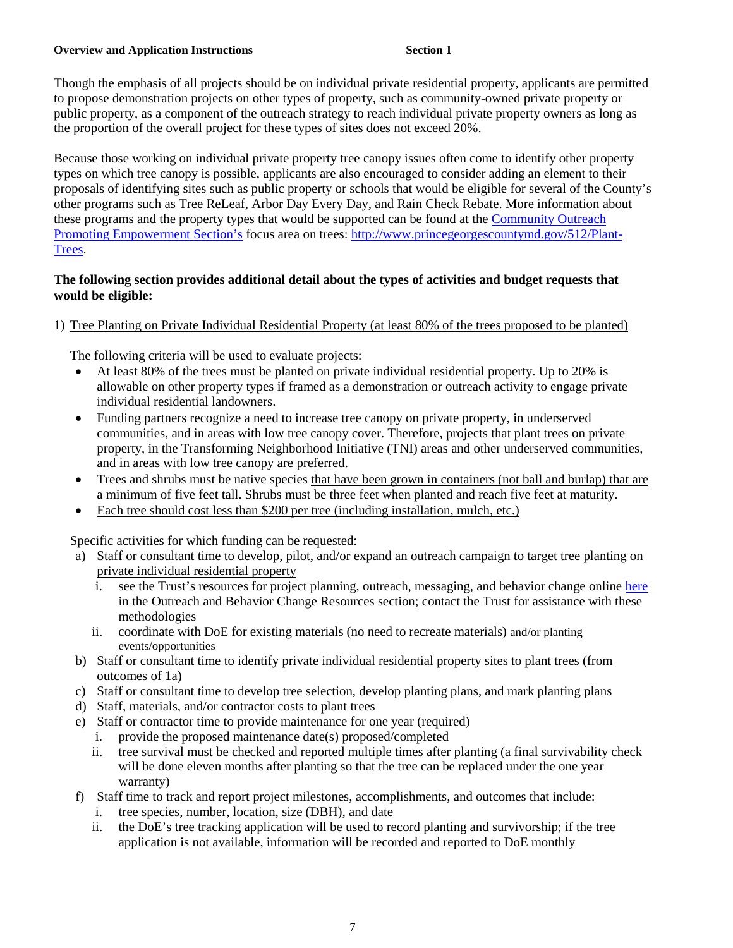### **Overview and Application Instructions 6 and 1** Section 1

Though the emphasis of all projects should be on individual private residential property, applicants are permitted to propose demonstration projects on other types of property, such as community-owned private property or public property, as a component of the outreach strategy to reach individual private property owners as long as the proportion of the overall project for these types of sites does not exceed 20%.

Because those working on individual private property tree canopy issues often come to identify other property types on which tree canopy is possible, applicants are also encouraged to consider adding an element to their proposals of identifying sites such as public property or schools that would be eligible for several of the County's other programs such as Tree ReLeaf, Arbor Day Every Day, and Rain Check Rebate. More information about these programs and the property types that would be supported can be found at the [Community Outreach](http://www.princegeorgescountymd.gov/351/Community-Outreach)  [Promoting Empowerment Section's](http://www.princegeorgescountymd.gov/351/Community-Outreach) focus area on trees: [http://www.princegeorgescountymd.gov/512/Plant-](http://www.princegeorgescountymd.gov/512/Plant-Trees)[Trees.](http://www.princegeorgescountymd.gov/512/Plant-Trees)

### **The following section provides additional detail about the types of activities and budget requests that would be eligible:**

### 1) Tree Planting on Private Individual Residential Property (at least 80% of the trees proposed to be planted)

The following criteria will be used to evaluate projects:

- At least 80% of the trees must be planted on private individual residential property. Up to 20% is allowable on other property types if framed as a demonstration or outreach activity to engage private individual residential landowners.
- Funding partners recognize a need to increase tree canopy on private property, in underserved communities, and in areas with low tree canopy cover. Therefore, projects that plant trees on private property, in the Transforming Neighborhood Initiative (TNI) areas and other underserved communities, and in areas with low tree canopy are preferred.
- Trees and shrubs must be native species that have been grown in containers (not ball and burlap) that are a minimum of five feet tall. Shrubs must be three feet when planted and reach five feet at maturity.
- Each tree should cost less than \$200 per tree (including installation, mulch, etc.)

Specific activities for which funding can be requested:

- a) Staff or consultant time to develop, pilot, and/or expand an outreach campaign to target tree planting on private individual residential property
	- i. see the Trust's resources for project planning, outreach, messaging, and behavior change online [here](https://cbtrust.org/additional-resources/) in the Outreach and Behavior Change Resources section; contact the Trust for assistance with these methodologies
	- ii. coordinate with DoE for existing materials (no need to recreate materials) and/or planting events/opportunities
- b) Staff or consultant time to identify private individual residential property sites to plant trees (from outcomes of 1a)
- c) Staff or consultant time to develop tree selection, develop planting plans, and mark planting plans
- d) Staff, materials, and/or contractor costs to plant trees
- e) Staff or contractor time to provide maintenance for one year (required)
	- i. provide the proposed maintenance date(s) proposed/completed
	- ii. tree survival must be checked and reported multiple times after planting (a final survivability check will be done eleven months after planting so that the tree can be replaced under the one year warranty)
- f) Staff time to track and report project milestones, accomplishments, and outcomes that include:
	- i. tree species, number, location, size (DBH), and date
	- ii. the DoE's tree tracking application will be used to record planting and survivorship; if the tree application is not available, information will be recorded and reported to DoE monthly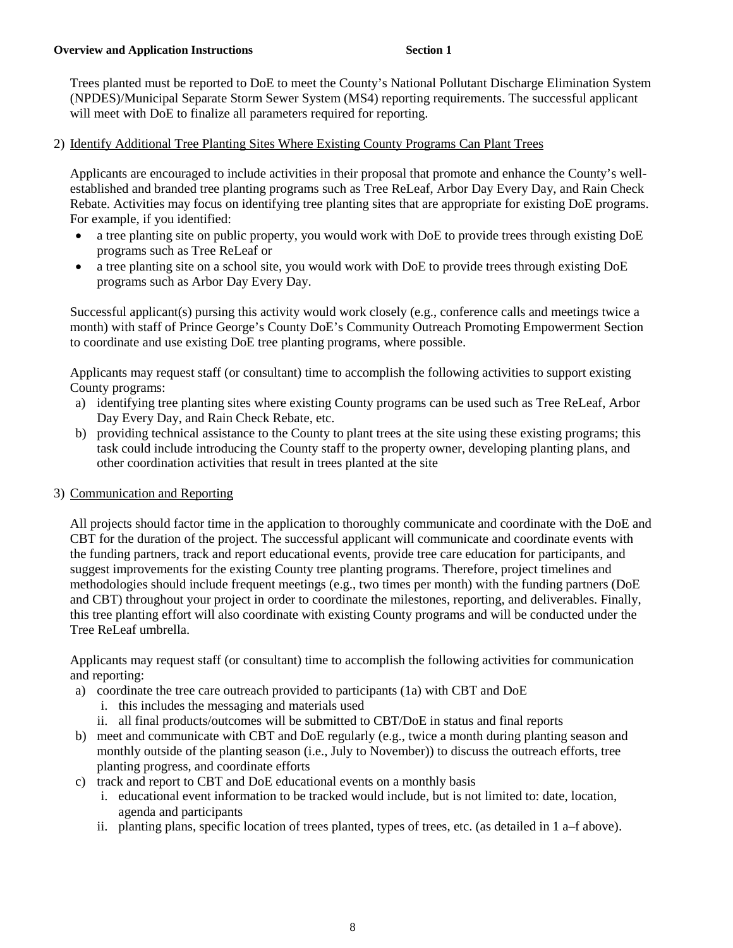Trees planted must be reported to DoE to meet the County's National Pollutant Discharge Elimination System (NPDES)/Municipal Separate Storm Sewer System (MS4) reporting requirements. The successful applicant will meet with DoE to finalize all parameters required for reporting.

2) Identify Additional Tree Planting Sites Where Existing County Programs Can Plant Trees

Applicants are encouraged to include activities in their proposal that promote and enhance the County's wellestablished and branded tree planting programs such as Tree ReLeaf, Arbor Day Every Day, and Rain Check Rebate. Activities may focus on identifying tree planting sites that are appropriate for existing DoE programs. For example, if you identified:

- a tree planting site on public property, you would work with DoE to provide trees through existing DoE programs such as Tree ReLeaf or
- a tree planting site on a school site, you would work with DoE to provide trees through existing DoE programs such as Arbor Day Every Day.

Successful applicant(s) pursing this activity would work closely (e.g., conference calls and meetings twice a month) with staff of Prince George's County DoE's Community Outreach Promoting Empowerment Section to coordinate and use existing DoE tree planting programs, where possible.

Applicants may request staff (or consultant) time to accomplish the following activities to support existing County programs:

- a) identifying tree planting sites where existing County programs can be used such as Tree ReLeaf, Arbor Day Every Day, and Rain Check Rebate, etc.
- b) providing technical assistance to the County to plant trees at the site using these existing programs; this task could include introducing the County staff to the property owner, developing planting plans, and other coordination activities that result in trees planted at the site

### 3) Communication and Reporting

All projects should factor time in the application to thoroughly communicate and coordinate with the DoE and CBT for the duration of the project. The successful applicant will communicate and coordinate events with the funding partners, track and report educational events, provide tree care education for participants, and suggest improvements for the existing County tree planting programs. Therefore, project timelines and methodologies should include frequent meetings (e.g., two times per month) with the funding partners (DoE and CBT) throughout your project in order to coordinate the milestones, reporting, and deliverables. Finally, this tree planting effort will also coordinate with existing County programs and will be conducted under the Tree ReLeaf umbrella.

Applicants may request staff (or consultant) time to accomplish the following activities for communication and reporting:

- a) coordinate the tree care outreach provided to participants (1a) with CBT and DoE
	- i. this includes the messaging and materials used
	- ii. all final products/outcomes will be submitted to CBT/DoE in status and final reports
- b) meet and communicate with CBT and DoE regularly (e.g., twice a month during planting season and monthly outside of the planting season (i.e., July to November)) to discuss the outreach efforts, tree planting progress, and coordinate efforts
- c) track and report to CBT and DoE educational events on a monthly basis
	- i. educational event information to be tracked would include, but is not limited to: date, location, agenda and participants
	- ii. planting plans, specific location of trees planted, types of trees, etc. (as detailed in 1 a–f above).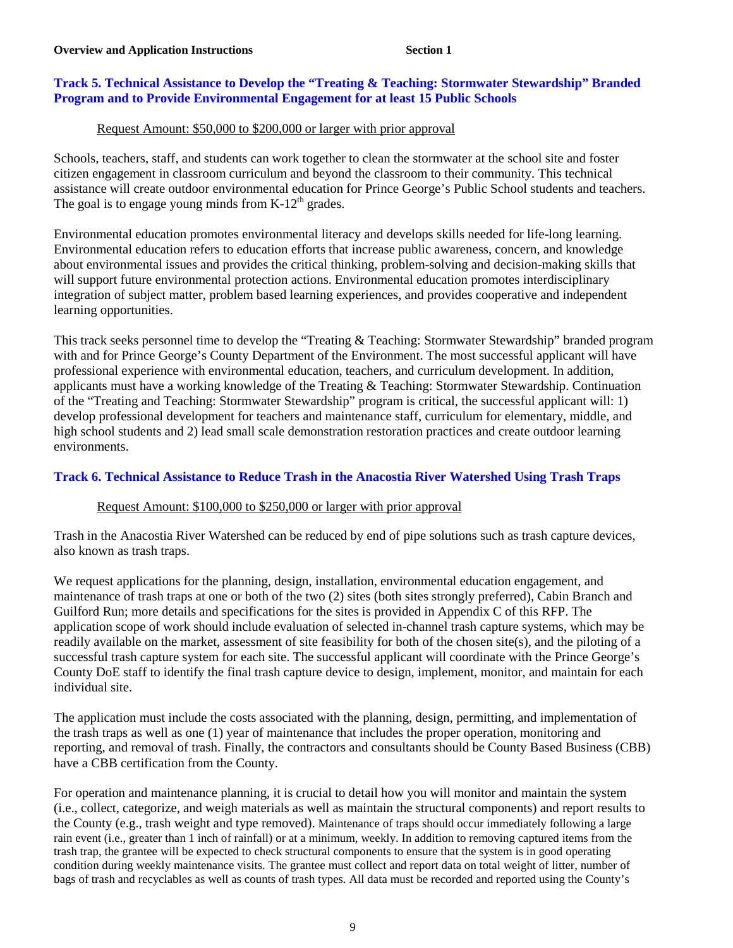### **Track 5. Technical Assistance to Develop the "Treating & Teaching: Stormwater Stewardship" Branded Program and to Provide Environmental Engagement for at least 15 Public Schools**

### Request Amount: \$50,000 to \$200,000 or larger with prior approval

Schools, teachers, staff, and students can work together to clean the stormwater at the school site and foster citizen engagement in classroom curriculum and beyond the classroom to their community. This technical assistance will create outdoor environmental education for Prince George's Public School students and teachers. The goal is to engage young minds from  $K-12<sup>th</sup>$  grades.

Environmental education promotes environmental literacy and develops skills needed for life-long learning. Environmental education refers to education efforts that increase public awareness, concern, and knowledge about environmental issues and provides the critical thinking, problem-solving and decision-making skills that will support future environmental protection actions. Environmental education promotes interdisciplinary integration of subject matter, problem based learning experiences, and provides cooperative and independent learning opportunities.

This track seeks personnel time to develop the "Treating & Teaching: Stormwater Stewardship" branded program with and for Prince George's County Department of the Environment. The most successful applicant will have professional experience with environmental education, teachers, and curriculum development. In addition, applicants must have a working knowledge of the Treating & Teaching: Stormwater Stewardship. Continuation of the "Treating and Teaching: Stormwater Stewardship" program is critical, the successful applicant will: 1) develop professional development for teachers and maintenance staff, curriculum for elementary, middle, and high school students and 2) lead small scale demonstration restoration practices and create outdoor learning environments.

### **Track 6. Technical Assistance to Reduce Trash in the Anacostia River Watershed Using Trash Traps**

### Request Amount: \$100,000 to \$250,000 or larger with prior approval

Trash in the Anacostia River Watershed can be reduced by end of pipe solutions such as trash capture devices, also known as trash traps.

We request applications for the planning, design, installation, environmental education engagement, and maintenance of trash traps at one or both of the two (2) sites (both sites strongly preferred), Cabin Branch and Guilford Run; more details and specifications for the sites is provided in Appendix C of this RFP. The application scope of work should include evaluation of selected in-channel trash capture systems, which may be readily available on the market, assessment of site feasibility for both of the chosen site(s), and the piloting of a successful trash capture system for each site. The successful applicant will coordinate with the Prince George's County DoE staff to identify the final trash capture device to design, implement, monitor, and maintain for each individual site.

The application must include the costs associated with the planning, design, permitting, and implementation of the trash traps as well as one (1) year of maintenance that includes the proper operation, monitoring and reporting, and removal of trash. Finally, the contractors and consultants should be County Based Business (CBB) have a CBB certification from the County.

For operation and maintenance planning, it is crucial to detail how you will monitor and maintain the system (i.e., collect, categorize, and weigh materials as well as maintain the structural components) and report results to the County (e.g., trash weight and type removed). Maintenance of traps should occur immediately following a large rain event (i.e., greater than 1 inch of rainfall) or at a minimum, weekly. In addition to removing captured items from the trash trap, the grantee will be expected to check structural components to ensure that the system is in good operating condition during weekly maintenance visits. The grantee must collect and report data on total weight of litter, number of bags of trash and recyclables as well as counts of trash types. All data must be recorded and reported using the County's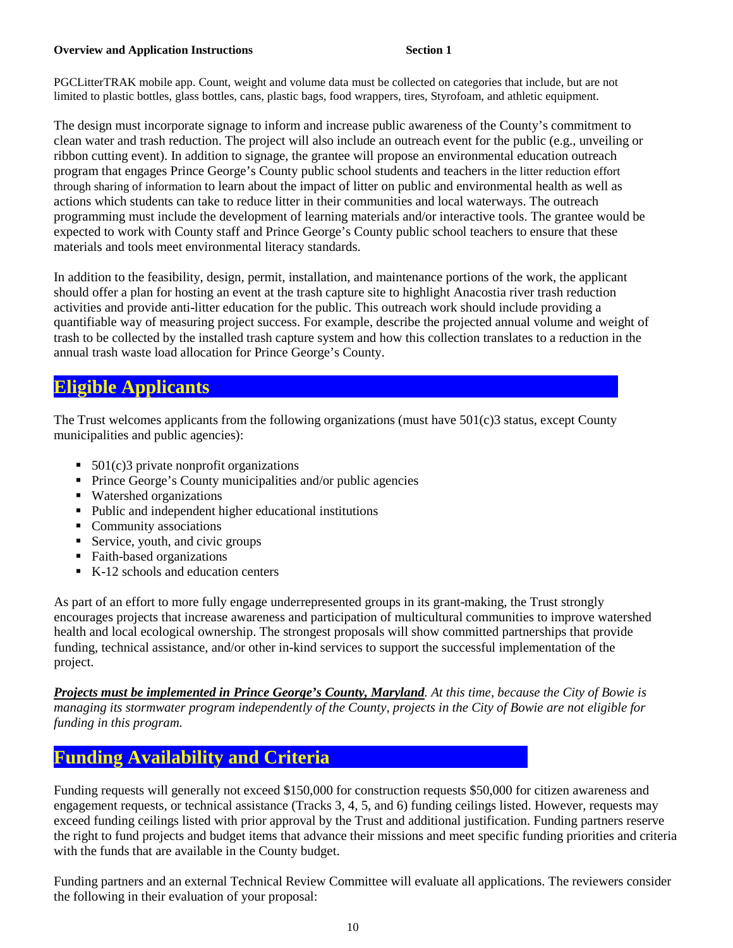### **Overview and Application Instructions 6 and 1997 Section 1**

PGCLitterTRAK mobile app. Count, weight and volume data must be collected on categories that include, but are not limited to plastic bottles, glass bottles, cans, plastic bags, food wrappers, tires, Styrofoam, and athletic equipment.

The design must incorporate signage to inform and increase public awareness of the County's commitment to clean water and trash reduction. The project will also include an outreach event for the public (e.g., unveiling or ribbon cutting event). In addition to signage, the grantee will propose an environmental education outreach program that engages Prince George's County public school students and teachers in the litter reduction effort through sharing of information to learn about the impact of litter on public and environmental health as well as actions which students can take to reduce litter in their communities and local waterways. The outreach programming must include the development of learning materials and/or interactive tools. The grantee would be expected to work with County staff and Prince George's County public school teachers to ensure that these materials and tools meet environmental literacy standards.

In addition to the feasibility, design, permit, installation, and maintenance portions of the work, the applicant should offer a plan for hosting an event at the trash capture site to highlight Anacostia river trash reduction activities and provide anti-litter education for the public. This outreach work should include providing a quantifiable way of measuring project success. For example, describe the projected annual volume and weight of trash to be collected by the installed trash capture system and how this collection translates to a reduction in the annual trash waste load allocation for Prince George's County.

# **Eligible Applicants** .

The Trust welcomes applicants from the following organizations (must have 501(c)3 status, except County municipalities and public agencies):

- 501(c)3 private nonprofit organizations
- **Prince George's County municipalities and/or public agencies**
- Watershed organizations
- Public and independent higher educational institutions
- Community associations
- Service, youth, and civic groups
- Faith-based organizations
- K-12 schools and education centers

As part of an effort to more fully engage underrepresented groups in its grant-making, the Trust strongly encourages projects that increase awareness and participation of multicultural communities to improve watershed health and local ecological ownership. The strongest proposals will show committed partnerships that provide funding, technical assistance, and/or other in-kind services to support the successful implementation of the project.

*Projects must be implemented in Prince George's County, Maryland. At this time, because the City of Bowie is managing its stormwater program independently of the County, projects in the City of Bowie are not eligible for funding in this program.*

# **Funding Availability and Criteria**

Funding requests will generally not exceed \$150,000 for construction requests \$50,000 for citizen awareness and engagement requests, or technical assistance (Tracks 3, 4, 5, and 6) funding ceilings listed. However, requests may exceed funding ceilings listed with prior approval by the Trust and additional justification. Funding partners reserve the right to fund projects and budget items that advance their missions and meet specific funding priorities and criteria with the funds that are available in the County budget.

Funding partners and an external Technical Review Committee will evaluate all applications. The reviewers consider the following in their evaluation of your proposal: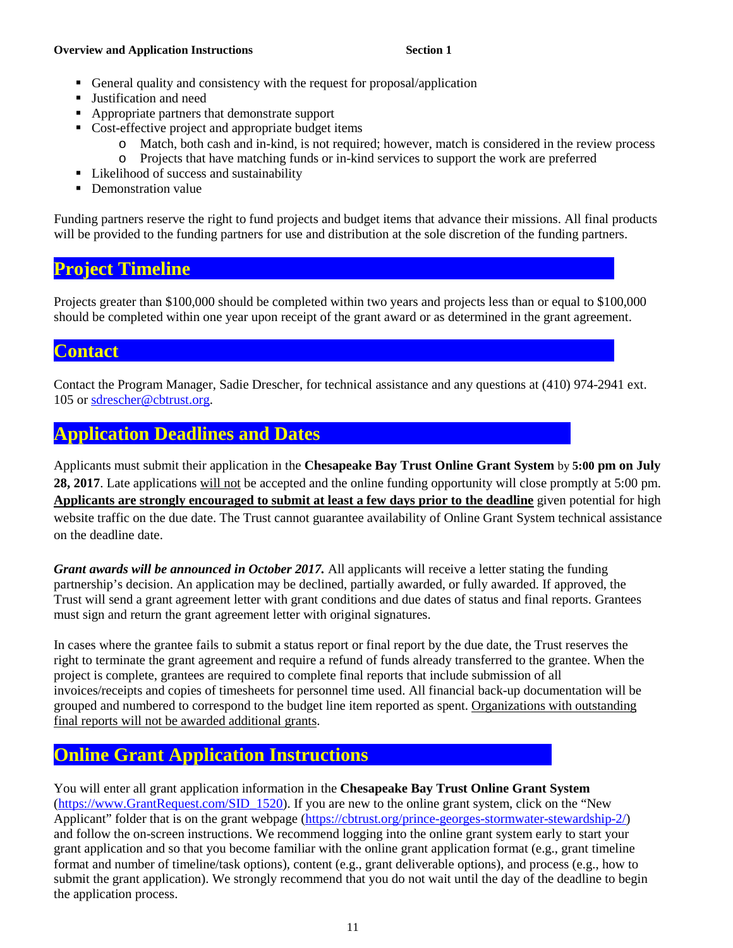### **Overview and Application Instructions 6 and 1 Section 1**

- General quality and consistency with the request for proposal/application
- Justification and need
- Appropriate partners that demonstrate support
- Cost-effective project and appropriate budget items
	- o Match, both cash and in-kind, is not required; however, match is considered in the review process
	- o Projects that have matching funds or in-kind services to support the work are preferred
- Likelihood of success and sustainability
- Demonstration value

Funding partners reserve the right to fund projects and budget items that advance their missions. All final products will be provided to the funding partners for use and distribution at the sole discretion of the funding partners.

# **Project Timeline**

Projects greater than \$100,000 should be completed within two years and projects less than or equal to \$100,000 should be completed within one year upon receipt of the grant award or as determined in the grant agreement.

# **Contact**

Contact the Program Manager, Sadie Drescher, for technical assistance and any questions at (410) 974-2941 ext. 105 or [sdrescher@cbtrust.org.](mailto:sdrescher@cbtrust.org)

# **Application Deadlines and Dates**

Applicants must submit their application in the **Chesapeake Bay Trust Online Grant System** by **5:00 pm on July 28, 2017**. Late applications will not be accepted and the online funding opportunity will close promptly at 5:00 pm. **Applicants are strongly encouraged to submit at least a few days prior to the deadline** given potential for high website traffic on the due date. The Trust cannot guarantee availability of Online Grant System technical assistance on the deadline date.

*Grant awards will be announced in October 2017.* All applicants will receive a letter stating the funding partnership's decision. An application may be declined, partially awarded, or fully awarded. If approved, the Trust will send a grant agreement letter with grant conditions and due dates of status and final reports. Grantees must sign and return the grant agreement letter with original signatures.

In cases where the grantee fails to submit a status report or final report by the due date, the Trust reserves the right to terminate the grant agreement and require a refund of funds already transferred to the grantee. When the project is complete, grantees are required to complete final reports that include submission of all invoices/receipts and copies of timesheets for personnel time used. All financial back-up documentation will be grouped and numbered to correspond to the budget line item reported as spent. Organizations with outstanding final reports will not be awarded additional grants.

# **Online Grant Application Instructions** .

You will enter all grant application information in the **Chesapeake Bay Trust Online Grant System** [\(https://www.GrantRequest.com/SID\\_1520\)](https://www.grantrequest.com/SID_1520). If you are new to the online grant system, click on the "New Applicant" folder that is on the grant webpage [\(https://cbtrust.org/prince-georges-stormwater-stewardship-2/\)](https://cbtrust.org/prince-georges-stormwater-stewardship-2/) and follow the on-screen instructions. We recommend logging into the online grant system early to start your grant application and so that you become familiar with the online grant application format (e.g., grant timeline format and number of timeline/task options), content (e.g., grant deliverable options), and process (e.g., how to submit the grant application). We strongly recommend that you do not wait until the day of the deadline to begin the application process.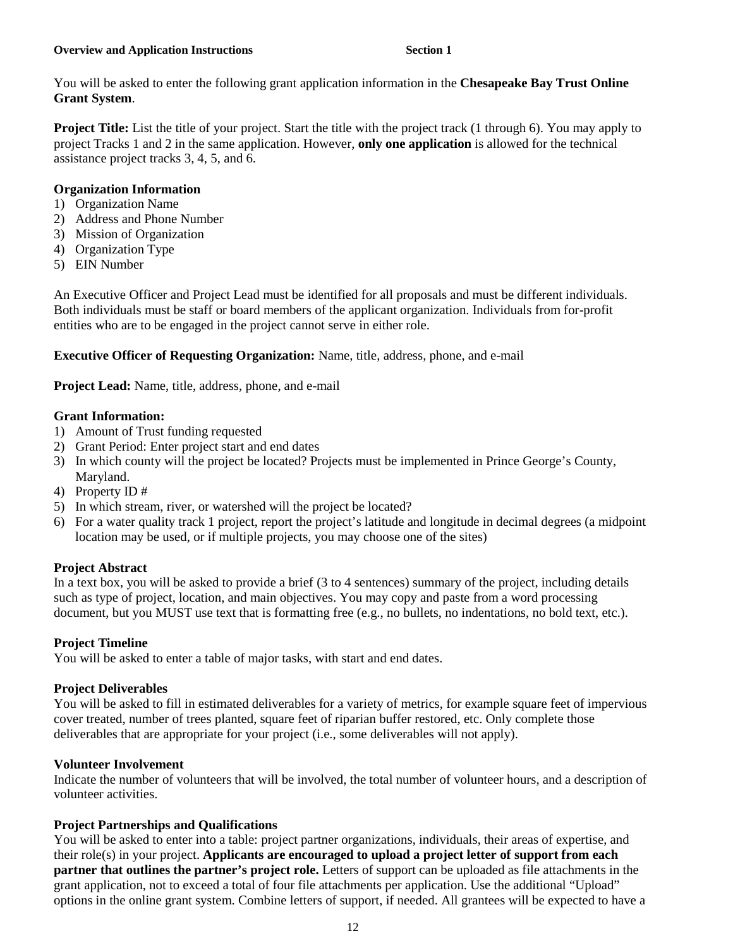You will be asked to enter the following grant application information in the **Chesapeake Bay Trust Online Grant System**.

**Project Title:** List the title of your project. Start the title with the project track (1 through 6). You may apply to project Tracks 1 and 2 in the same application. However, **only one application** is allowed for the technical assistance project tracks 3, 4, 5, and 6.

### **Organization Information**

- 1) Organization Name
- 2) Address and Phone Number
- 3) Mission of Organization
- 4) Organization Type
- 5) EIN Number

An Executive Officer and Project Lead must be identified for all proposals and must be different individuals. Both individuals must be staff or board members of the applicant organization. Individuals from for-profit entities who are to be engaged in the project cannot serve in either role.

**Executive Officer of Requesting Organization:** Name, title, address, phone, and e-mail

**Project Lead:** Name, title, address, phone, and e-mail

### **Grant Information:**

- 1) Amount of Trust funding requested
- 2) Grant Period: Enter project start and end dates
- 3) In which county will the project be located? Projects must be implemented in Prince George's County, Maryland.
- 4) Property ID #
- 5) In which stream, river, or watershed will the project be located?
- 6) For a water quality track 1 project, report the project's latitude and longitude in decimal degrees (a midpoint location may be used, or if multiple projects, you may choose one of the sites)

### **Project Abstract**

In a text box, you will be asked to provide a brief (3 to 4 sentences) summary of the project, including details such as type of project, location, and main objectives. You may copy and paste from a word processing document, but you MUST use text that is formatting free (e.g., no bullets, no indentations, no bold text, etc.).

### **Project Timeline**

You will be asked to enter a table of major tasks, with start and end dates.

### **Project Deliverables**

You will be asked to fill in estimated deliverables for a variety of metrics, for example square feet of impervious cover treated, number of trees planted, square feet of riparian buffer restored, etc. Only complete those deliverables that are appropriate for your project (i.e., some deliverables will not apply).

### **Volunteer Involvement**

Indicate the number of volunteers that will be involved, the total number of volunteer hours, and a description of volunteer activities.

### **Project Partnerships and Qualifications**

You will be asked to enter into a table: project partner organizations, individuals, their areas of expertise, and their role(s) in your project. **Applicants are encouraged to upload a project letter of support from each partner that outlines the partner's project role.** Letters of support can be uploaded as file attachments in the grant application, not to exceed a total of four file attachments per application. Use the additional "Upload" options in the online grant system. Combine letters of support, if needed. All grantees will be expected to have a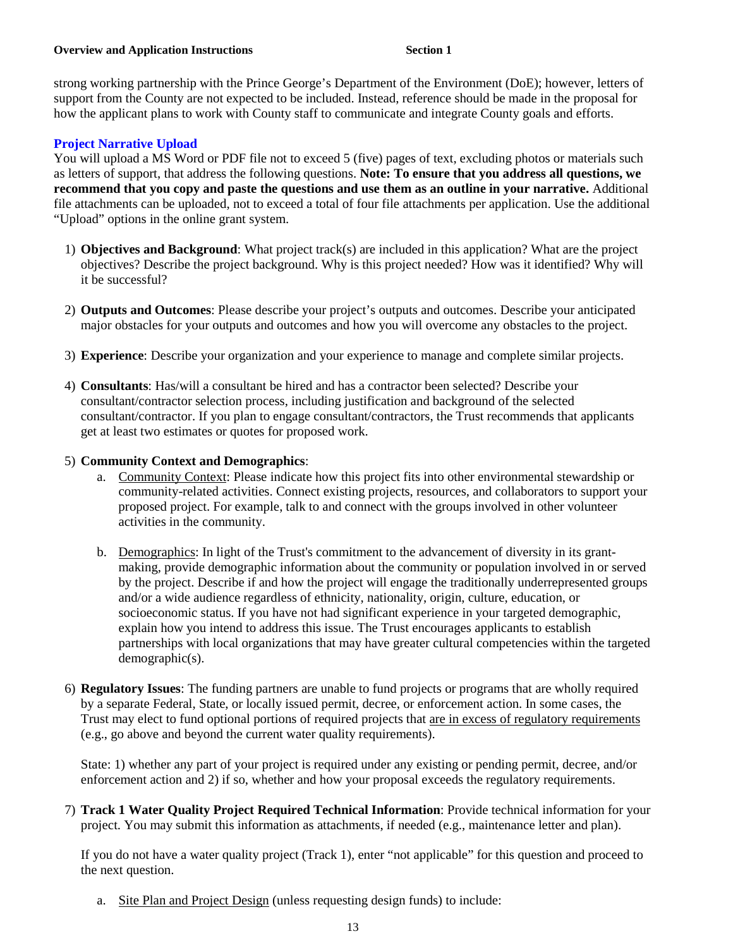strong working partnership with the Prince George's Department of the Environment (DoE); however, letters of support from the County are not expected to be included. Instead, reference should be made in the proposal for how the applicant plans to work with County staff to communicate and integrate County goals and efforts.

### **Project Narrative Upload**

You will upload a MS Word or PDF file not to exceed 5 (five) pages of text, excluding photos or materials such as letters of support, that address the following questions. **Note: To ensure that you address all questions, we recommend that you copy and paste the questions and use them as an outline in your narrative.** Additional file attachments can be uploaded, not to exceed a total of four file attachments per application. Use the additional "Upload" options in the online grant system.

- 1) **Objectives and Background**: What project track(s) are included in this application? What are the project objectives? Describe the project background. Why is this project needed? How was it identified? Why will it be successful?
- 2) **Outputs and Outcomes**: Please describe your project's outputs and outcomes. Describe your anticipated major obstacles for your outputs and outcomes and how you will overcome any obstacles to the project.
- 3) **Experience**: Describe your organization and your experience to manage and complete similar projects.
- 4) **Consultants**: Has/will a consultant be hired and has a contractor been selected? Describe your consultant/contractor selection process, including justification and background of the selected consultant/contractor. If you plan to engage consultant/contractors, the Trust recommends that applicants get at least two estimates or quotes for proposed work.

### 5) **Community Context and Demographics**:

- a. Community Context: Please indicate how this project fits into other environmental stewardship or community-related activities. Connect existing projects, resources, and collaborators to support your proposed project. For example, talk to and connect with the groups involved in other volunteer activities in the community.
- b. Demographics: In light of the Trust's commitment to the advancement of diversity in its grantmaking, provide demographic information about the community or population involved in or served by the project. Describe if and how the project will engage the traditionally underrepresented groups and/or a wide audience regardless of ethnicity, nationality, origin, culture, education, or socioeconomic status. If you have not had significant experience in your targeted demographic, explain how you intend to address this issue. The Trust encourages applicants to establish partnerships with local organizations that may have greater cultural competencies within the targeted demographic(s).
- 6) **Regulatory Issues**: The funding partners are unable to fund projects or programs that are wholly required by a separate Federal, State, or locally issued permit, decree, or enforcement action. In some cases, the Trust may elect to fund optional portions of required projects that are in excess of regulatory requirements (e.g., go above and beyond the current water quality requirements).

State: 1) whether any part of your project is required under any existing or pending permit, decree, and/or enforcement action and 2) if so, whether and how your proposal exceeds the regulatory requirements.

7) **Track 1 Water Quality Project Required Technical Information**: Provide technical information for your project. You may submit this information as attachments, if needed (e.g., maintenance letter and plan).

If you do not have a water quality project (Track 1), enter "not applicable" for this question and proceed to the next question.

a. Site Plan and Project Design (unless requesting design funds) to include: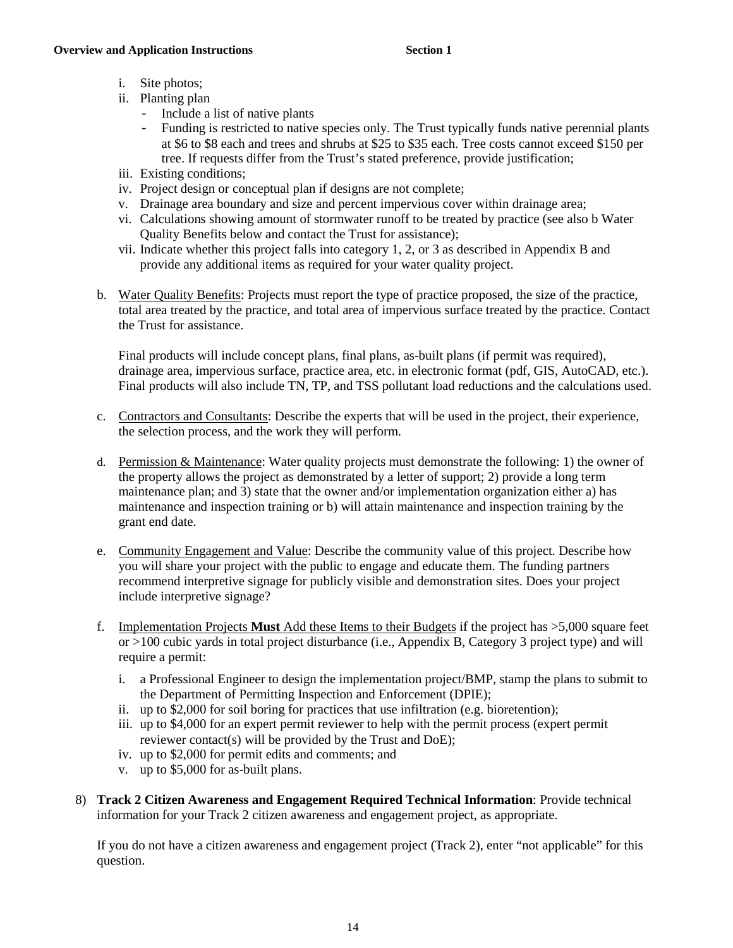- i. Site photos;
- ii. Planting plan
	- Include a list of native plants
	- Funding is restricted to native species only. The Trust typically funds native perennial plants at \$6 to \$8 each and trees and shrubs at \$25 to \$35 each. Tree costs cannot exceed \$150 per tree. If requests differ from the Trust's stated preference, provide justification;
- iii. Existing conditions;
- iv. Project design or conceptual plan if designs are not complete;
- v. Drainage area boundary and size and percent impervious cover within drainage area;
- vi. Calculations showing amount of stormwater runoff to be treated by practice (see also b Water Quality Benefits below and contact the Trust for assistance);
- vii. Indicate whether this project falls into category 1, 2, or 3 as described in Appendix B and provide any additional items as required for your water quality project.
- b. Water Quality Benefits: Projects must report the type of practice proposed, the size of the practice, total area treated by the practice, and total area of impervious surface treated by the practice. Contact the Trust for assistance.

Final products will include concept plans, final plans, as-built plans (if permit was required), drainage area, impervious surface, practice area, etc. in electronic format (pdf, GIS, AutoCAD, etc.). Final products will also include TN, TP, and TSS pollutant load reductions and the calculations used.

- c. Contractors and Consultants: Describe the experts that will be used in the project, their experience, the selection process, and the work they will perform.
- d. Permission & Maintenance: Water quality projects must demonstrate the following: 1) the owner of the property allows the project as demonstrated by a letter of support; 2) provide a long term maintenance plan; and 3) state that the owner and/or implementation organization either a) has maintenance and inspection training or b) will attain maintenance and inspection training by the grant end date.
- e. Community Engagement and Value: Describe the community value of this project. Describe how you will share your project with the public to engage and educate them. The funding partners recommend interpretive signage for publicly visible and demonstration sites. Does your project include interpretive signage?
- f. Implementation Projects **Must** Add these Items to their Budgets if the project has >5,000 square feet or >100 cubic yards in total project disturbance (i.e., Appendix B, Category 3 project type) and will require a permit:
	- i. a Professional Engineer to design the implementation project/BMP, stamp the plans to submit to the Department of Permitting Inspection and Enforcement (DPIE);
	- ii. up to \$2,000 for soil boring for practices that use infiltration (e.g. bioretention);
	- iii. up to \$4,000 for an expert permit reviewer to help with the permit process (expert permit reviewer contact(s) will be provided by the Trust and DoE);
	- iv. up to \$2,000 for permit edits and comments; and
	- v. up to \$5,000 for as-built plans.
- 8) **Track 2 Citizen Awareness and Engagement Required Technical Information**: Provide technical information for your Track 2 citizen awareness and engagement project, as appropriate.

If you do not have a citizen awareness and engagement project (Track 2), enter "not applicable" for this question.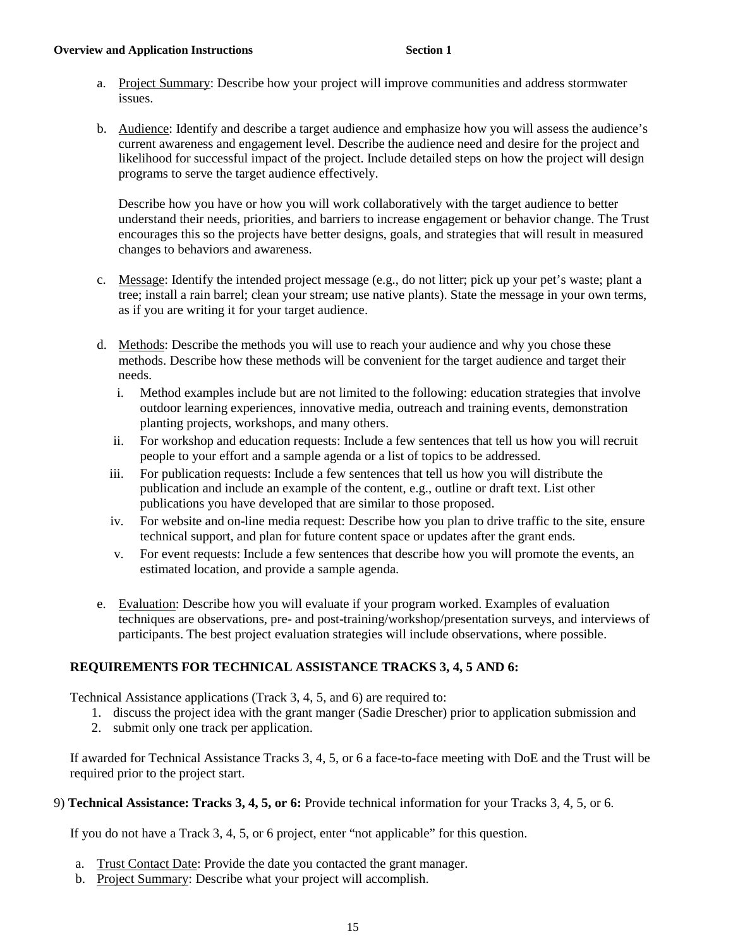### **Overview and Application Instructions 6 and 1** Section 1

- a. Project Summary: Describe how your project will improve communities and address stormwater issues.
- b. Audience: Identify and describe a target audience and emphasize how you will assess the audience's current awareness and engagement level. Describe the audience need and desire for the project and likelihood for successful impact of the project. Include detailed steps on how the project will design programs to serve the target audience effectively.

Describe how you have or how you will work collaboratively with the target audience to better understand their needs, priorities, and barriers to increase engagement or behavior change. The Trust encourages this so the projects have better designs, goals, and strategies that will result in measured changes to behaviors and awareness.

- c. Message: Identify the intended project message (e.g., do not litter; pick up your pet's waste; plant a tree; install a rain barrel; clean your stream; use native plants). State the message in your own terms, as if you are writing it for your target audience.
- d. Methods: Describe the methods you will use to reach your audience and why you chose these methods. Describe how these methods will be convenient for the target audience and target their needs.
	- i. Method examples include but are not limited to the following: education strategies that involve outdoor learning experiences, innovative media, outreach and training events, demonstration planting projects, workshops, and many others.
	- ii. For workshop and education requests: Include a few sentences that tell us how you will recruit people to your effort and a sample agenda or a list of topics to be addressed.
	- iii. For publication requests: Include a few sentences that tell us how you will distribute the publication and include an example of the content, e.g., outline or draft text. List other publications you have developed that are similar to those proposed.
	- iv. For website and on-line media request: Describe how you plan to drive traffic to the site, ensure technical support, and plan for future content space or updates after the grant ends.
	- v. For event requests: Include a few sentences that describe how you will promote the events, an estimated location, and provide a sample agenda.
- e. Evaluation: Describe how you will evaluate if your program worked. Examples of evaluation techniques are observations, pre- and post-training/workshop/presentation surveys, and interviews of participants. The best project evaluation strategies will include observations, where possible.

### **REQUIREMENTS FOR TECHNICAL ASSISTANCE TRACKS 3, 4, 5 AND 6:**

Technical Assistance applications (Track 3, 4, 5, and 6) are required to:

- 1. discuss the project idea with the grant manger (Sadie Drescher) prior to application submission and
- 2. submit only one track per application.

If awarded for Technical Assistance Tracks 3, 4, 5, or 6 a face-to-face meeting with DoE and the Trust will be required prior to the project start.

### 9) **Technical Assistance: Tracks 3, 4, 5, or 6:** Provide technical information for your Tracks 3, 4, 5, or 6.

If you do not have a Track 3, 4, 5, or 6 project, enter "not applicable" for this question.

- a. Trust Contact Date: Provide the date you contacted the grant manager.
- b. Project Summary: Describe what your project will accomplish.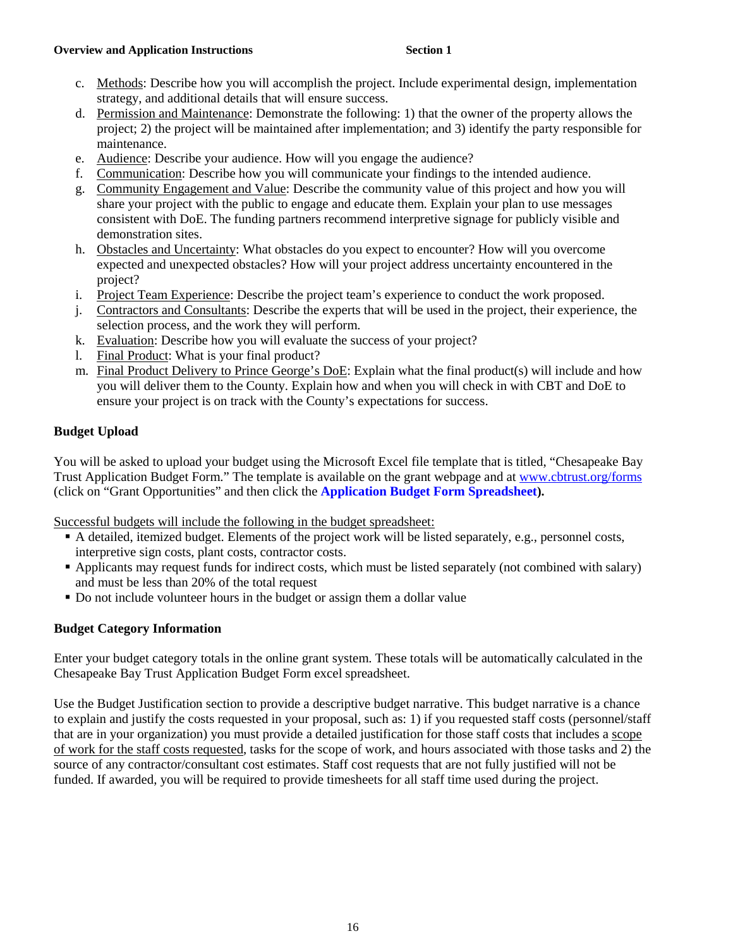- c. Methods: Describe how you will accomplish the project. Include experimental design, implementation strategy, and additional details that will ensure success.
- d. Permission and Maintenance: Demonstrate the following: 1) that the owner of the property allows the project; 2) the project will be maintained after implementation; and 3) identify the party responsible for maintenance.
- e. Audience: Describe your audience. How will you engage the audience?
- f. Communication: Describe how you will communicate your findings to the intended audience.
- g. Community Engagement and Value: Describe the community value of this project and how you will share your project with the public to engage and educate them. Explain your plan to use messages consistent with DoE. The funding partners recommend interpretive signage for publicly visible and demonstration sites.
- h. Obstacles and Uncertainty: What obstacles do you expect to encounter? How will you overcome expected and unexpected obstacles? How will your project address uncertainty encountered in the project?
- i. Project Team Experience: Describe the project team's experience to conduct the work proposed.
- j. Contractors and Consultants: Describe the experts that will be used in the project, their experience, the selection process, and the work they will perform.
- k. Evaluation: Describe how you will evaluate the success of your project?
- l. Final Product: What is your final product?
- m. Final Product Delivery to Prince George's DoE: Explain what the final product(s) will include and how you will deliver them to the County. Explain how and when you will check in with CBT and DoE to ensure your project is on track with the County's expectations for success.

### **Budget Upload**

You will be asked to upload your budget using the Microsoft Excel file template that is titled, "Chesapeake Bay Trust Application Budget Form." The template is available on the grant webpage and at [www.cbtrust.org/forms](http://www.cbtrust.org/forms) (click on "Grant Opportunities" and then click the **[Application Budget Form Spreadsheet\)](https://cbtrust.org/wp-content/uploads/CBT_BudgetExpendituresSpreadsheet_forApplicationBudget17-1.xlsx).**

Successful budgets will include the following in the budget spreadsheet:

- A detailed, itemized budget. Elements of the project work will be listed separately, e.g., personnel costs, interpretive sign costs, plant costs, contractor costs.
- Applicants may request funds for indirect costs, which must be listed separately (not combined with salary) and must be less than 20% of the total request
- Do not include volunteer hours in the budget or assign them a dollar value

### **Budget Category Information**

Enter your budget category totals in the online grant system. These totals will be automatically calculated in the Chesapeake Bay Trust Application Budget Form excel spreadsheet.

Use the Budget Justification section to provide a descriptive budget narrative. This budget narrative is a chance to explain and justify the costs requested in your proposal, such as: 1) if you requested staff costs (personnel/staff that are in your organization) you must provide a detailed justification for those staff costs that includes a scope of work for the staff costs requested, tasks for the scope of work, and hours associated with those tasks and 2) the source of any contractor/consultant cost estimates. Staff cost requests that are not fully justified will not be funded. If awarded, you will be required to provide timesheets for all staff time used during the project.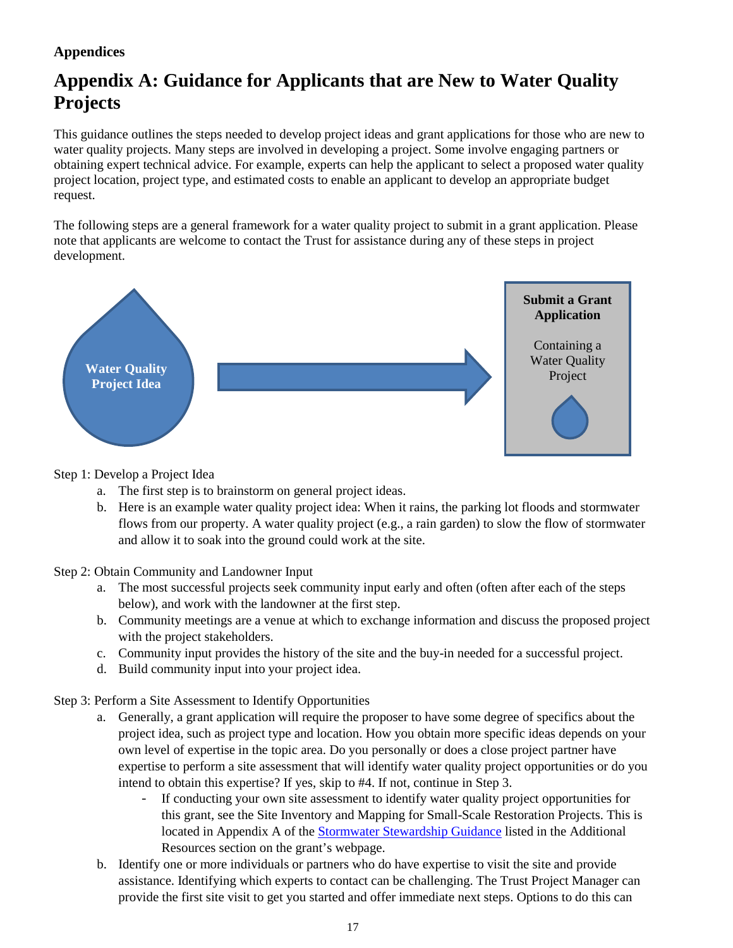# **Appendix A: Guidance for Applicants that are New to Water Quality Projects**

This guidance outlines the steps needed to develop project ideas and grant applications for those who are new to water quality projects. Many steps are involved in developing a project. Some involve engaging partners or obtaining expert technical advice. For example, experts can help the applicant to select a proposed water quality project location, project type, and estimated costs to enable an applicant to develop an appropriate budget request.

The following steps are a general framework for a water quality project to submit in a grant application. Please note that applicants are welcome to contact the Trust for assistance during any of these steps in project development.



Step 1: Develop a Project Idea

- a. The first step is to brainstorm on general project ideas.
- b. Here is an example water quality project idea: When it rains, the parking lot floods and stormwater flows from our property. A water quality project (e.g., a rain garden) to slow the flow of stormwater and allow it to soak into the ground could work at the site.

Step 2: Obtain Community and Landowner Input

- a. The most successful projects seek community input early and often (often after each of the steps below), and work with the landowner at the first step.
- b. Community meetings are a venue at which to exchange information and discuss the proposed project with the project stakeholders.
- c. Community input provides the history of the site and the buy-in needed for a successful project.
- d. Build community input into your project idea.

Step 3: Perform a Site Assessment to Identify Opportunities

- a. Generally, a grant application will require the proposer to have some degree of specifics about the project idea, such as project type and location. How you obtain more specific ideas depends on your own level of expertise in the topic area. Do you personally or does a close project partner have expertise to perform a site assessment that will identify water quality project opportunities or do you intend to obtain this expertise? If yes, skip to #4. If not, continue in Step 3.
	- If conducting your own site assessment to identify water quality project opportunities for this grant, see the Site Inventory and Mapping for Small-Scale Restoration Projects. This is located in Appendix A of the [Stormwater Stewardship Guidance](https://cbtrust.org/wp-content/uploads/PG-CBT-Stormwater-Stewardship-Guidance-March-2015.pdf) listed in the Additional Resources section on the grant's webpage.
- b. Identify one or more individuals or partners who do have expertise to visit the site and provide assistance. Identifying which experts to contact can be challenging. The Trust Project Manager can provide the first site visit to get you started and offer immediate next steps. Options to do this can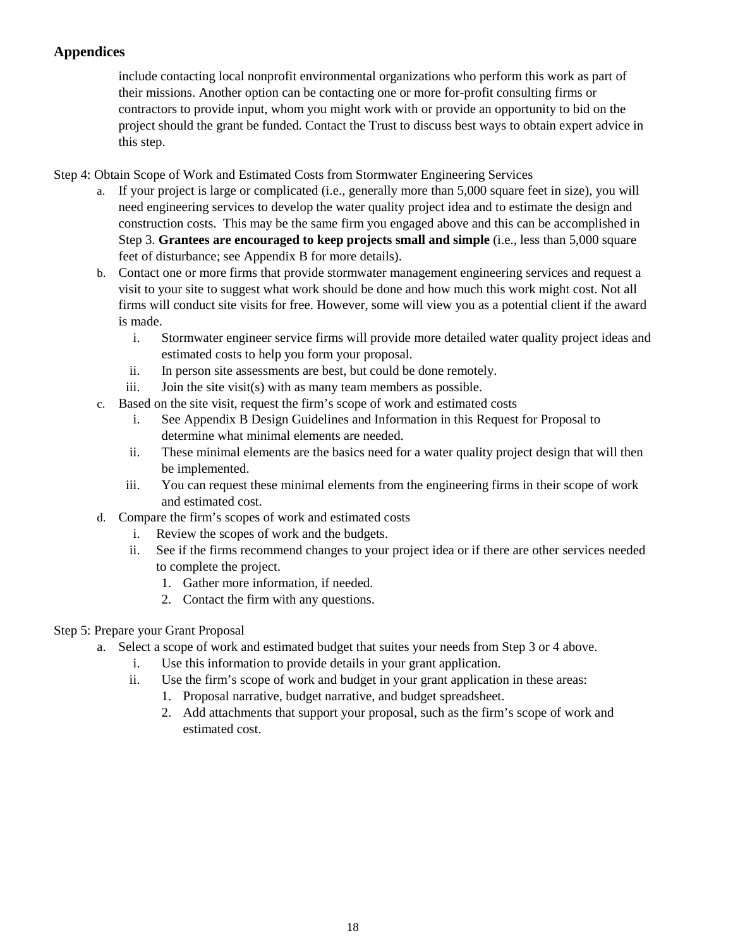include contacting local nonprofit environmental organizations who perform this work as part of their missions. Another option can be contacting one or more for-profit consulting firms or contractors to provide input, whom you might work with or provide an opportunity to bid on the project should the grant be funded. Contact the Trust to discuss best ways to obtain expert advice in this step.

- Step 4: Obtain Scope of Work and Estimated Costs from Stormwater Engineering Services
	- a. If your project is large or complicated (i.e., generally more than 5,000 square feet in size), you will need engineering services to develop the water quality project idea and to estimate the design and construction costs. This may be the same firm you engaged above and this can be accomplished in Step 3. **Grantees are encouraged to keep projects small and simple** (i.e., less than 5,000 square feet of disturbance; see Appendix B for more details).
	- b. Contact one or more firms that provide stormwater management engineering services and request a visit to your site to suggest what work should be done and how much this work might cost. Not all firms will conduct site visits for free. However, some will view you as a potential client if the award is made.
		- i. Stormwater engineer service firms will provide more detailed water quality project ideas and estimated costs to help you form your proposal.
		- ii. In person site assessments are best, but could be done remotely.
		- iii. Join the site visit(s) with as many team members as possible.
	- c. Based on the site visit, request the firm's scope of work and estimated costs
		- i. See Appendix B Design Guidelines and Information in this Request for Proposal to determine what minimal elements are needed.
		- ii. These minimal elements are the basics need for a water quality project design that will then be implemented.
		- iii. You can request these minimal elements from the engineering firms in their scope of work and estimated cost.
	- d. Compare the firm's scopes of work and estimated costs
		- i. Review the scopes of work and the budgets.
		- ii. See if the firms recommend changes to your project idea or if there are other services needed to complete the project.
			- 1. Gather more information, if needed.
			- 2. Contact the firm with any questions.
- Step 5: Prepare your Grant Proposal
	- a. Select a scope of work and estimated budget that suites your needs from Step 3 or 4 above.
		- i. Use this information to provide details in your grant application.
		- ii. Use the firm's scope of work and budget in your grant application in these areas:
			- 1. Proposal narrative, budget narrative, and budget spreadsheet.
			- 2. Add attachments that support your proposal, such as the firm's scope of work and estimated cost.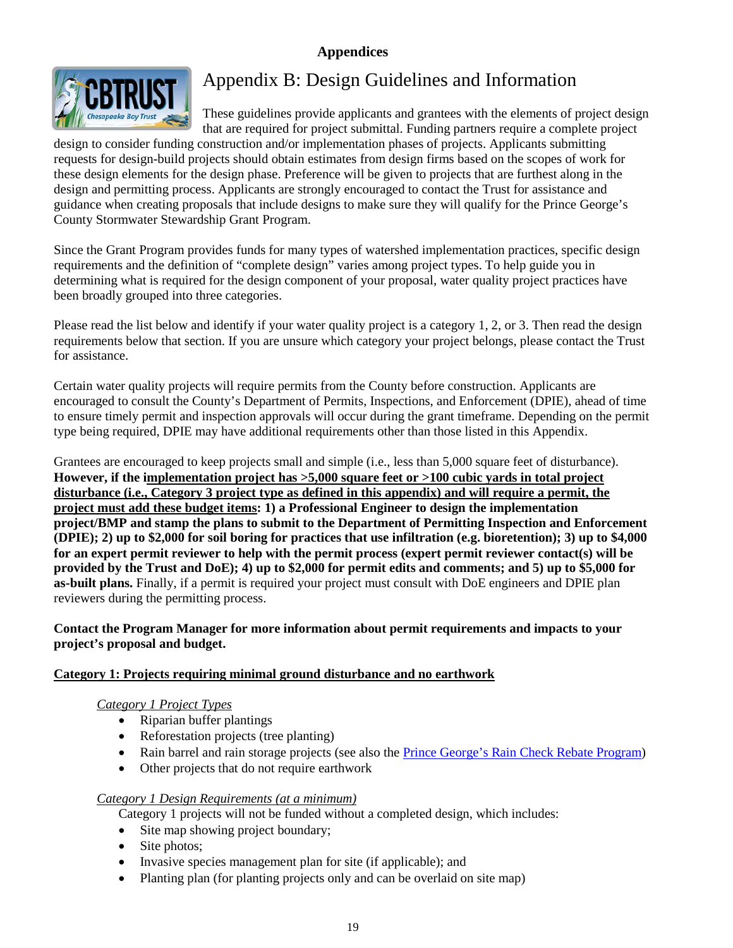

# Appendix B: Design Guidelines and Information

These guidelines provide applicants and grantees with the elements of project design that are required for project submittal. Funding partners require a complete project

design to consider funding construction and/or implementation phases of projects. Applicants submitting requests for design-build projects should obtain estimates from design firms based on the scopes of work for these design elements for the design phase. Preference will be given to projects that are furthest along in the design and permitting process. Applicants are strongly encouraged to contact the Trust for assistance and guidance when creating proposals that include designs to make sure they will qualify for the Prince George's County Stormwater Stewardship Grant Program.

Since the Grant Program provides funds for many types of watershed implementation practices, specific design requirements and the definition of "complete design" varies among project types. To help guide you in determining what is required for the design component of your proposal, water quality project practices have been broadly grouped into three categories.

Please read the list below and identify if your water quality project is a category 1, 2, or 3. Then read the design requirements below that section. If you are unsure which category your project belongs, please contact the Trust for assistance.

Certain water quality projects will require permits from the County before construction. Applicants are encouraged to consult the County's Department of Permits, Inspections, and Enforcement (DPIE), ahead of time to ensure timely permit and inspection approvals will occur during the grant timeframe. Depending on the permit type being required, DPIE may have additional requirements other than those listed in this Appendix.

Grantees are encouraged to keep projects small and simple (i.e., less than 5,000 square feet of disturbance). **However, if the implementation project has >5,000 square feet or >100 cubic yards in total project disturbance (i.e., Category 3 project type as defined in this appendix) and will require a permit, the project must add these budget items: 1) a Professional Engineer to design the implementation project/BMP and stamp the plans to submit to the Department of Permitting Inspection and Enforcement (DPIE); 2) up to \$2,000 for soil boring for practices that use infiltration (e.g. bioretention); 3) up to \$4,000 for an expert permit reviewer to help with the permit process (expert permit reviewer contact(s) will be provided by the Trust and DoE); 4) up to \$2,000 for permit edits and comments; and 5) up to \$5,000 for as-built plans.** Finally, if a permit is required your project must consult with DoE engineers and DPIE plan reviewers during the permitting process.

### **Contact the Program Manager for more information about permit requirements and impacts to your project's proposal and budget.**

### **Category 1: Projects requiring minimal ground disturbance and no earthwork**

### *Category 1 Project Types*

- Riparian buffer plantings
- Reforestation projects (tree planting)
- Rain barrel and rain storage projects (see also the [Prince George's Rain Check Rebate Program\)](https://cbtrust.org/prince-georges-county-rain-check-rebate/)
- Other projects that do not require earthwork

### *Category 1 Design Requirements (at a minimum)*

Category 1 projects will not be funded without a completed design, which includes:

- Site map showing project boundary;
- Site photos;
- Invasive species management plan for site (if applicable); and
- Planting plan (for planting projects only and can be overlaid on site map)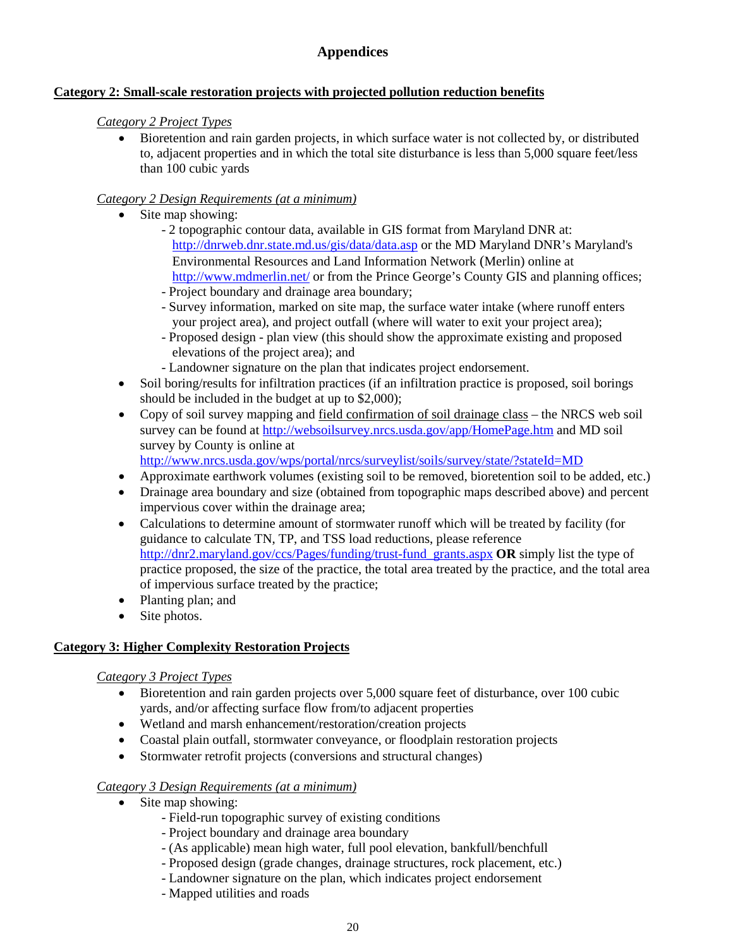### **Category 2: Small-scale restoration projects with projected pollution reduction benefits**

### *Category 2 Project Types*

• Bioretention and rain garden projects, in which surface water is not collected by, or distributed to, adjacent properties and in which the total site disturbance is less than 5,000 square feet/less than 100 cubic yards

### *Category 2 Design Requirements (at a minimum)*

- Site map showing:
	- 2 topographic contour data, available in GIS format from Maryland DNR at: <http://dnrweb.dnr.state.md.us/gis/data/data.asp> or the MD Maryland DNR's Maryland's Environmental Resources and Land Information Network (Merlin) online at <http://www.mdmerlin.net/> or from the Prince George's County GIS and planning offices; - Project boundary and drainage area boundary;
	- Survey information, marked on site map, the surface water intake (where runoff enters your project area), and project outfall (where will water to exit your project area);
	- Proposed design plan view (this should show the approximate existing and proposed elevations of the project area); and
	- Landowner signature on the plan that indicates project endorsement.
- Soil boring/results for infiltration practices (if an infiltration practice is proposed, soil borings should be included in the budget at up to \$2,000);
- Copy of soil survey mapping and field confirmation of soil drainage class the NRCS web soil survey can be found at<http://websoilsurvey.nrcs.usda.gov/app/HomePage.htm> and MD soil survey by County is online at <http://www.nrcs.usda.gov/wps/portal/nrcs/surveylist/soils/survey/state/?stateId=MD>
- Approximate earthwork volumes (existing soil to be removed, bioretention soil to be added, etc.)
- Drainage area boundary and size (obtained from topographic maps described above) and percent impervious cover within the drainage area;
- Calculations to determine amount of stormwater runoff which will be treated by facility (for guidance to calculate TN, TP, and TSS load reductions, please reference [http://dnr2.maryland.gov/ccs/Pages/funding/trust-fund\\_grants.aspx](http://dnr2.maryland.gov/ccs/Pages/funding/trust-fund_grants.aspx) **OR** simply list the type of practice proposed, the size of the practice, the total area treated by the practice, and the total area of impervious surface treated by the practice;
- Planting plan; and
- Site photos.

### **Category 3: Higher Complexity Restoration Projects**

### *Category 3 Project Types*

- Bioretention and rain garden projects over 5,000 square feet of disturbance, over 100 cubic yards, and/or affecting surface flow from/to adjacent properties
- Wetland and marsh enhancement/restoration/creation projects
- Coastal plain outfall, stormwater conveyance, or floodplain restoration projects
- Stormwater retrofit projects (conversions and structural changes)

### *Category 3 Design Requirements (at a minimum)*

- Site map showing:
	- Field-run topographic survey of existing conditions
	- Project boundary and drainage area boundary
	- (As applicable) mean high water, full pool elevation, bankfull/benchfull
	- Proposed design (grade changes, drainage structures, rock placement, etc.)
	- Landowner signature on the plan, which indicates project endorsement
	- Mapped utilities and roads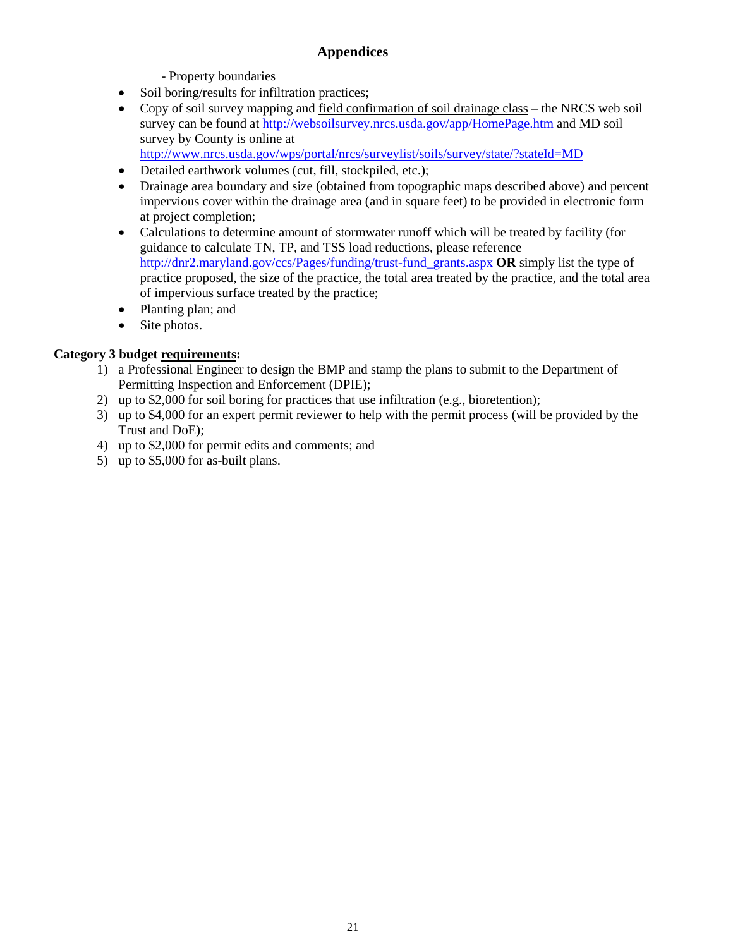- Property boundaries

- Soil boring/results for infiltration practices;
- Copy of soil survey mapping and field confirmation of soil drainage class the NRCS web soil survey can be found at<http://websoilsurvey.nrcs.usda.gov/app/HomePage.htm> and MD soil survey by County is online at <http://www.nrcs.usda.gov/wps/portal/nrcs/surveylist/soils/survey/state/?stateId=MD>
- Detailed earthwork volumes (cut, fill, stockpiled, etc.);
- Drainage area boundary and size (obtained from topographic maps described above) and percent impervious cover within the drainage area (and in square feet) to be provided in electronic form at project completion;
- Calculations to determine amount of stormwater runoff which will be treated by facility (for guidance to calculate TN, TP, and TSS load reductions, please reference [http://dnr2.maryland.gov/ccs/Pages/funding/trust-fund\\_grants.aspx](http://dnr2.maryland.gov/ccs/Pages/funding/trust-fund_grants.aspx) **OR** simply list the type of practice proposed, the size of the practice, the total area treated by the practice, and the total area of impervious surface treated by the practice;
- Planting plan; and
- Site photos.

### **Category 3 budget requirements:**

- 1) a Professional Engineer to design the BMP and stamp the plans to submit to the Department of Permitting Inspection and Enforcement (DPIE);
- 2) up to \$2,000 for soil boring for practices that use infiltration (e.g., bioretention);
- 3) up to \$4,000 for an expert permit reviewer to help with the permit process (will be provided by the Trust and DoE);
- 4) up to \$2,000 for permit edits and comments; and
- 5) up to \$5,000 for as-built plans.